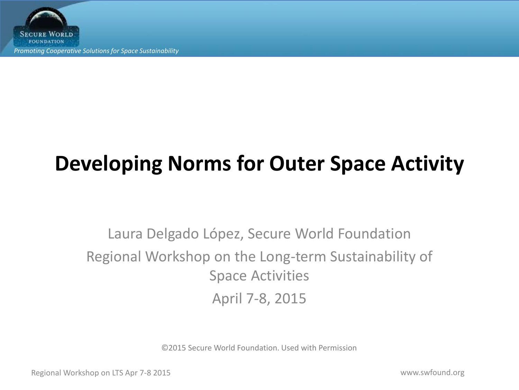**SECURE WORLD FOUNDATION** *Promoting Cooperative Solutions for Space Sustainability*

## **Developing Norms for Outer Space Activity**

Laura Delgado López, Secure World Foundation Regional Workshop on the Long-term Sustainability of Space Activities April 7-8, 2015

©2015 Secure World Foundation. Used with Permission

Regional Workshop on LTS Apr 7-8 2015 www.swfound.org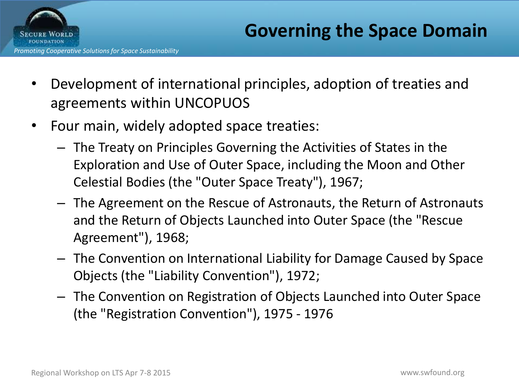



- Development of international principles, adoption of treaties and agreements within UNCOPUOS
- Four main, widely adopted space treaties:
	- The Treaty on Principles Governing the Activities of States in the Exploration and Use of Outer Space, including the Moon and Other Celestial Bodies (the "Outer Space Treaty"), 1967;
	- The Agreement on the Rescue of Astronauts, the Return of Astronauts and the Return of Objects Launched into Outer Space (the "Rescue Agreement"), 1968;
	- The Convention on International Liability for Damage Caused by Space Objects (the "Liability Convention"), 1972;
	- The Convention on Registration of Objects Launched into Outer Space (the "Registration Convention"), 1975 - 1976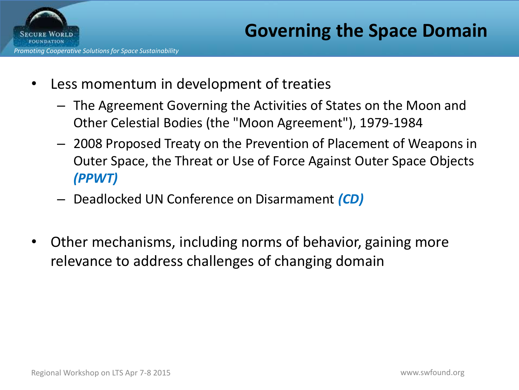

- Less momentum in development of treaties
	- The Agreement Governing the Activities of States on the Moon and Other Celestial Bodies (the "Moon Agreement"), 1979-1984
	- 2008 Proposed Treaty on the Prevention of Placement of Weapons in Outer Space, the Threat or Use of Force Against Outer Space Objects *(PPWT)*
	- Deadlocked UN Conference on Disarmament *(CD)*
- Other mechanisms, including norms of behavior, gaining more relevance to address challenges of changing domain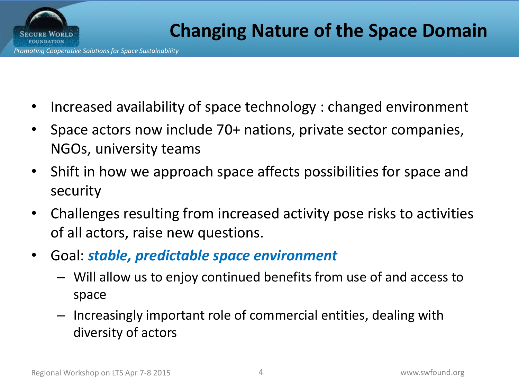**SECURE WORLD** 

- Increased availability of space technology : changed environment
- Space actors now include 70+ nations, private sector companies, NGOs, university teams
- Shift in how we approach space affects possibilities for space and security
- Challenges resulting from increased activity pose risks to activities of all actors, raise new questions.
- Goal: *stable, predictable space environment*
	- Will allow us to enjoy continued benefits from use of and access to space
	- Increasingly important role of commercial entities, dealing with diversity of actors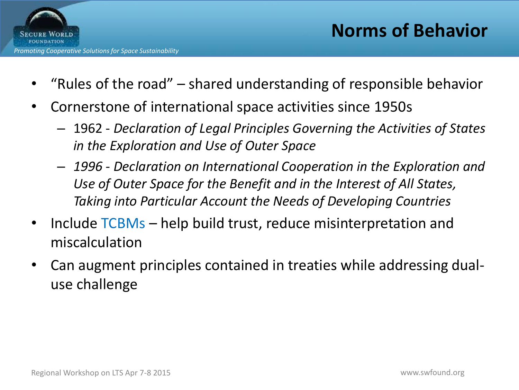

- "Rules of the road" shared understanding of responsible behavior
- Cornerstone of international space activities since 1950s
	- 1962 *Declaration of Legal Principles Governing the Activities of States in the Exploration and Use of Outer Space*
	- *1996 - Declaration on International Cooperation in the Exploration and Use of Outer Space for the Benefit and in the Interest of All States, Taking into Particular Account the Needs of Developing Countries*
- Include TCBMs help build trust, reduce misinterpretation and miscalculation
- Can augment principles contained in treaties while addressing dualuse challenge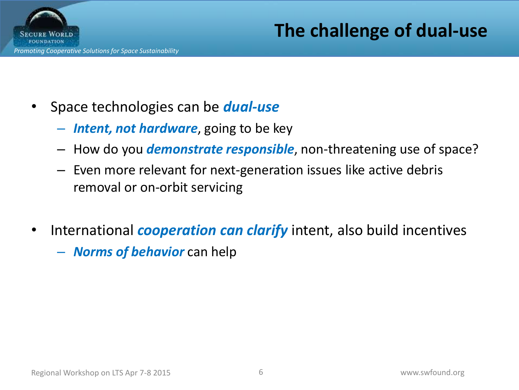

**The challenge of dual-use**

- Space technologies can be *dual-use*
	- *Intent, not hardware*, going to be key
	- How do you *demonstrate responsible*, non-threatening use of space?
	- Even more relevant for next-generation issues like active debris removal or on-orbit servicing
- International *cooperation can clarify* intent, also build incentives – *Norms of behavior* can help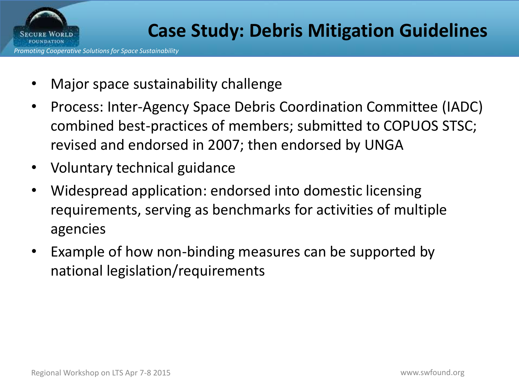

- Major space sustainability challenge
- Process: Inter-Agency Space Debris Coordination Committee (IADC) combined best-practices of members; submitted to COPUOS STSC; revised and endorsed in 2007; then endorsed by UNGA
- Voluntary technical guidance
- Widespread application: endorsed into domestic licensing requirements, serving as benchmarks for activities of multiple agencies
- Example of how non-binding measures can be supported by national legislation/requirements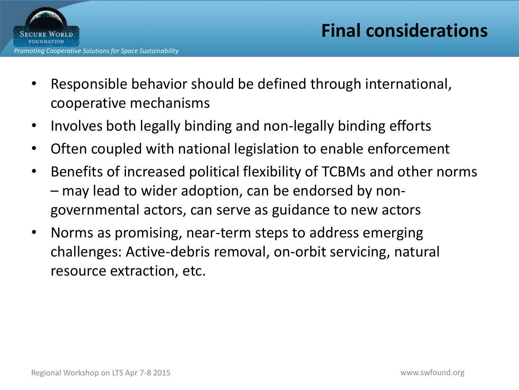

- Responsible behavior should be defined through international, cooperative mechanisms
- Involves both legally binding and non-legally binding efforts
- Often coupled with national legislation to enable enforcement
- Benefits of increased political flexibility of TCBMs and other norms – may lead to wider adoption, can be endorsed by nongovernmental actors, can serve as guidance to new actors
- Norms as promising, near-term steps to address emerging challenges: Active-debris removal, on-orbit servicing, natural resource extraction, etc.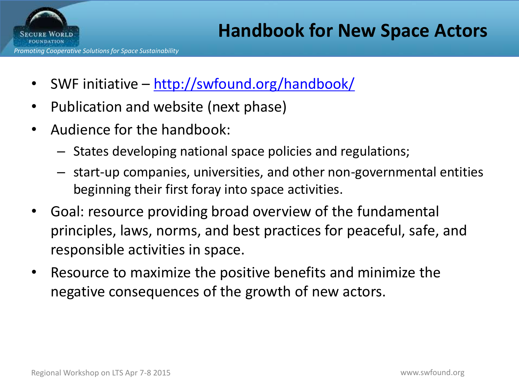

- SWF initiative <http://swfound.org/handbook/>
- Publication and website (next phase)
- Audience for the handbook:
	- States developing national space policies and regulations;
	- start-up companies, universities, and other non-governmental entities beginning their first foray into space activities.
- Goal: resource providing broad overview of the fundamental principles, laws, norms, and best practices for peaceful, safe, and responsible activities in space.
- Resource to maximize the positive benefits and minimize the negative consequences of the growth of new actors.